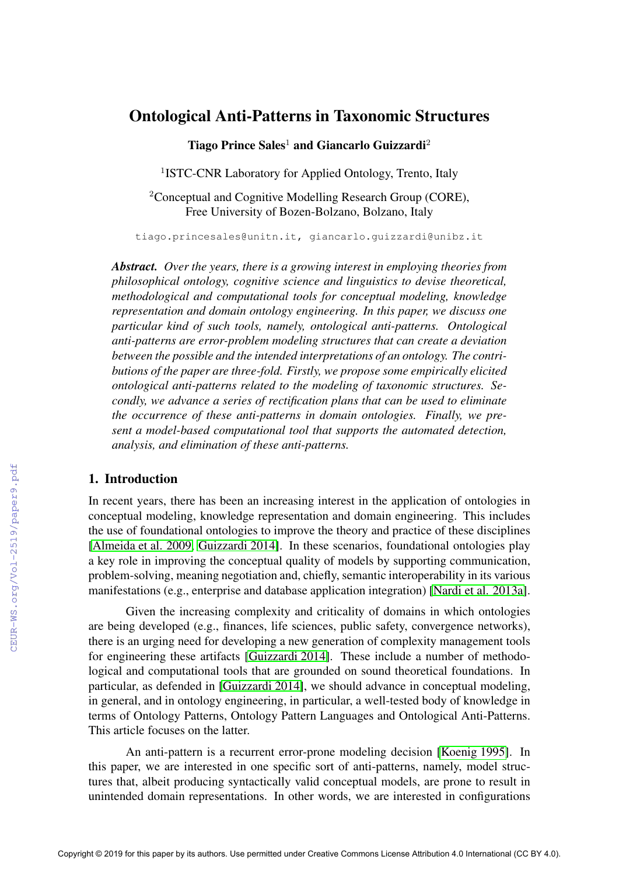# Ontological Anti-Patterns in Taxonomic Structures

Tiago Prince Sales<sup>1</sup> and Giancarlo Guizzardi<sup>2</sup>

<sup>1</sup>ISTC-CNR Laboratory for Applied Ontology, Trento, Italy

<sup>2</sup>Conceptual and Cognitive Modelling Research Group (CORE), Free University of Bozen-Bolzano, Bolzano, Italy

tiago.princesales@unitn.it, giancarlo.guizzardi@unibz.it

*Abstract. Over the years, there is a growing interest in employing theories from philosophical ontology, cognitive science and linguistics to devise theoretical, methodological and computational tools for conceptual modeling, knowledge representation and domain ontology engineering. In this paper, we discuss one particular kind of such tools, namely, ontological anti-patterns. Ontological anti-patterns are error-problem modeling structures that can create a deviation between the possible and the intended interpretations of an ontology. The contributions of the paper are three-fold. Firstly, we propose some empirically elicited ontological anti-patterns related to the modeling of taxonomic structures. Secondly, we advance a series of rectification plans that can be used to eliminate the occurrence of these anti-patterns in domain ontologies. Finally, we present a model-based computational tool that supports the automated detection, analysis, and elimination of these anti-patterns.*

# 1. Introduction

In recent years, there has been an increasing interest in the application of ontologies in conceptual modeling, knowledge representation and domain engineering. This includes the use of foundational ontologies to improve the theory and practice of these disciplines [\[Almeida et al. 2009,](#page--1-0) [Guizzardi 2014\]](#page--1-1). In these scenarios, foundational ontologies play a key role in improving the conceptual quality of models by supporting communication, problem-solving, meaning negotiation and, chiefly, semantic interoperability in its various manifestations (e.g., enterprise and database application integration) [\[Nardi et al. 2013a\]](#page--1-2).

Given the increasing complexity and criticality of domains in which ontologies are being developed (e.g., finances, life sciences, public safety, convergence networks), there is an urging need for developing a new generation of complexity management tools for engineering these artifacts [\[Guizzardi 2014\]](#page--1-1). These include a number of methodological and computational tools that are grounded on sound theoretical foundations. In particular, as defended in [\[Guizzardi 2014\]](#page--1-1), we should advance in conceptual modeling, in general, and in ontology engineering, in particular, a well-tested body of knowledge in terms of Ontology Patterns, Ontology Pattern Languages and Ontological Anti-Patterns. This article focuses on the latter.

An anti-pattern is a recurrent error-prone modeling decision [\[Koenig 1995\]](#page--1-3). In this paper, we are interested in one specific sort of anti-patterns, namely, model structures that, albeit producing syntactically valid conceptual models, are prone to result in unintended domain representations. In other words, we are interested in configurations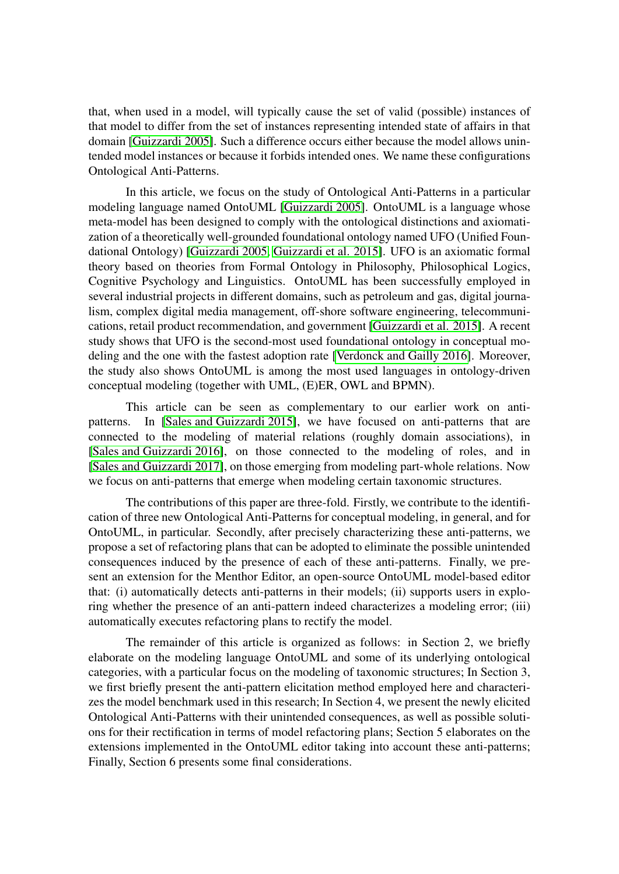that, when used in a model, will typically cause the set of valid (possible) instances of that model to differ from the set of instances representing intended state of affairs in that domain [\[Guizzardi 2005\]](#page-11-0). Such a difference occurs either because the model allows unintended model instances or because it forbids intended ones. We name these configurations Ontological Anti-Patterns.

In this article, we focus on the study of Ontological Anti-Patterns in a particular modeling language named OntoUML [\[Guizzardi 2005\]](#page-11-0). OntoUML is a language whose meta-model has been designed to comply with the ontological distinctions and axiomatization of a theoretically well-grounded foundational ontology named UFO (Unified Foundational Ontology) [\[Guizzardi 2005,](#page-11-0) [Guizzardi et al. 2015\]](#page-11-1). UFO is an axiomatic formal theory based on theories from Formal Ontology in Philosophy, Philosophical Logics, Cognitive Psychology and Linguistics. OntoUML has been successfully employed in several industrial projects in different domains, such as petroleum and gas, digital journalism, complex digital media management, off-shore software engineering, telecommunications, retail product recommendation, and government [\[Guizzardi et al. 2015\]](#page-11-1). A recent study shows that UFO is the second-most used foundational ontology in conceptual modeling and the one with the fastest adoption rate [\[Verdonck and Gailly 2016\]](#page-12-0). Moreover, the study also shows OntoUML is among the most used languages in ontology-driven conceptual modeling (together with UML, (E)ER, OWL and BPMN).

This article can be seen as complementary to our earlier work on antipatterns. In [\[Sales and Guizzardi 2015\]](#page-12-1), we have focused on anti-patterns that are connected to the modeling of material relations (roughly domain associations), in [\[Sales and Guizzardi 2016\]](#page-12-2), on those connected to the modeling of roles, and in [\[Sales and Guizzardi 2017\]](#page-12-3), on those emerging from modeling part-whole relations. Now we focus on anti-patterns that emerge when modeling certain taxonomic structures.

The contributions of this paper are three-fold. Firstly, we contribute to the identification of three new Ontological Anti-Patterns for conceptual modeling, in general, and for OntoUML, in particular. Secondly, after precisely characterizing these anti-patterns, we propose a set of refactoring plans that can be adopted to eliminate the possible unintended consequences induced by the presence of each of these anti-patterns. Finally, we present an extension for the Menthor Editor, an open-source OntoUML model-based editor that: (i) automatically detects anti-patterns in their models; (ii) supports users in exploring whether the presence of an anti-pattern indeed characterizes a modeling error; (iii) automatically executes refactoring plans to rectify the model.

The remainder of this article is organized as follows: in Section 2, we briefly elaborate on the modeling language OntoUML and some of its underlying ontological categories, with a particular focus on the modeling of taxonomic structures; In Section 3, we first briefly present the anti-pattern elicitation method employed here and characterizes the model benchmark used in this research; In Section 4, we present the newly elicited Ontological Anti-Patterns with their unintended consequences, as well as possible solutions for their rectification in terms of model refactoring plans; Section 5 elaborates on the extensions implemented in the OntoUML editor taking into account these anti-patterns; Finally, Section 6 presents some final considerations.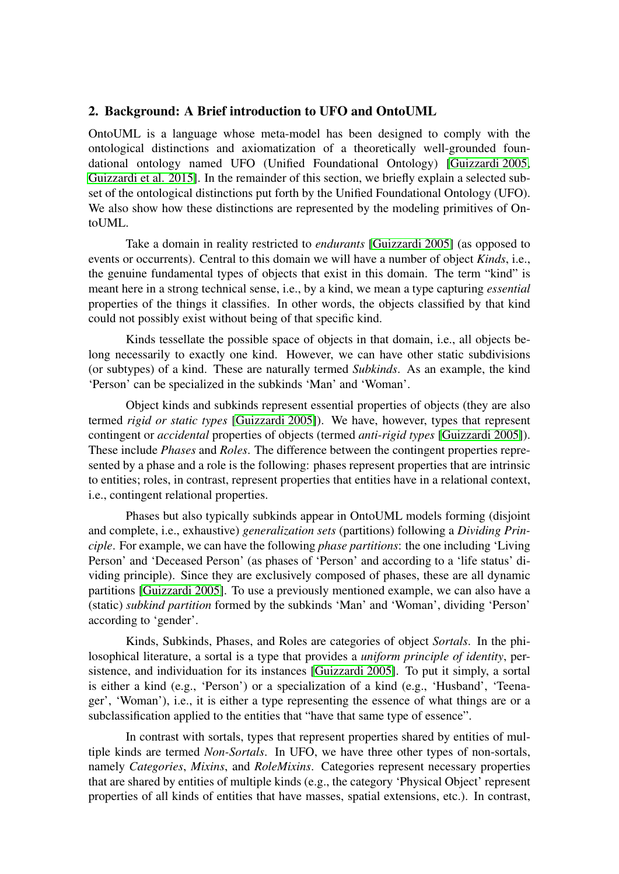## <span id="page-2-0"></span>2. Background: A Brief introduction to UFO and OntoUML

OntoUML is a language whose meta-model has been designed to comply with the ontological distinctions and axiomatization of a theoretically well-grounded foundational ontology named UFO (Unified Foundational Ontology) [\[Guizzardi 2005,](#page-11-0) [Guizzardi et al. 2015\]](#page-11-1). In the remainder of this section, we briefly explain a selected subset of the ontological distinctions put forth by the Unified Foundational Ontology (UFO). We also show how these distinctions are represented by the modeling primitives of OntoUML.

Take a domain in reality restricted to *endurants* [\[Guizzardi 2005\]](#page-11-0) (as opposed to events or occurrents). Central to this domain we will have a number of object *Kinds*, i.e., the genuine fundamental types of objects that exist in this domain. The term "kind" is meant here in a strong technical sense, i.e., by a kind, we mean a type capturing *essential* properties of the things it classifies. In other words, the objects classified by that kind could not possibly exist without being of that specific kind.

Kinds tessellate the possible space of objects in that domain, i.e., all objects belong necessarily to exactly one kind. However, we can have other static subdivisions (or subtypes) of a kind. These are naturally termed *Subkinds*. As an example, the kind 'Person' can be specialized in the subkinds 'Man' and 'Woman'.

Object kinds and subkinds represent essential properties of objects (they are also termed *rigid or static types* [\[Guizzardi 2005\]](#page-11-0)). We have, however, types that represent contingent or *accidental* properties of objects (termed *anti-rigid types* [\[Guizzardi 2005\]](#page-11-0)). These include *Phases* and *Roles*. The difference between the contingent properties represented by a phase and a role is the following: phases represent properties that are intrinsic to entities; roles, in contrast, represent properties that entities have in a relational context, i.e., contingent relational properties.

Phases but also typically subkinds appear in OntoUML models forming (disjoint and complete, i.e., exhaustive) *generalization sets* (partitions) following a *Dividing Principle*. For example, we can have the following *phase partitions*: the one including 'Living Person' and 'Deceased Person' (as phases of 'Person' and according to a 'life status' dividing principle). Since they are exclusively composed of phases, these are all dynamic partitions [\[Guizzardi 2005\]](#page-11-0). To use a previously mentioned example, we can also have a (static) *subkind partition* formed by the subkinds 'Man' and 'Woman', dividing 'Person' according to 'gender'.

Kinds, Subkinds, Phases, and Roles are categories of object *Sortals*. In the philosophical literature, a sortal is a type that provides a *uniform principle of identity*, persistence, and individuation for its instances [\[Guizzardi 2005\]](#page-11-0). To put it simply, a sortal is either a kind (e.g., 'Person') or a specialization of a kind (e.g., 'Husband', 'Teenager', 'Woman'), i.e., it is either a type representing the essence of what things are or a subclassification applied to the entities that "have that same type of essence".

In contrast with sortals, types that represent properties shared by entities of multiple kinds are termed *Non-Sortals*. In UFO, we have three other types of non-sortals, namely *Categories*, *Mixins*, and *RoleMixins*. Categories represent necessary properties that are shared by entities of multiple kinds (e.g., the category 'Physical Object' represent properties of all kinds of entities that have masses, spatial extensions, etc.). In contrast,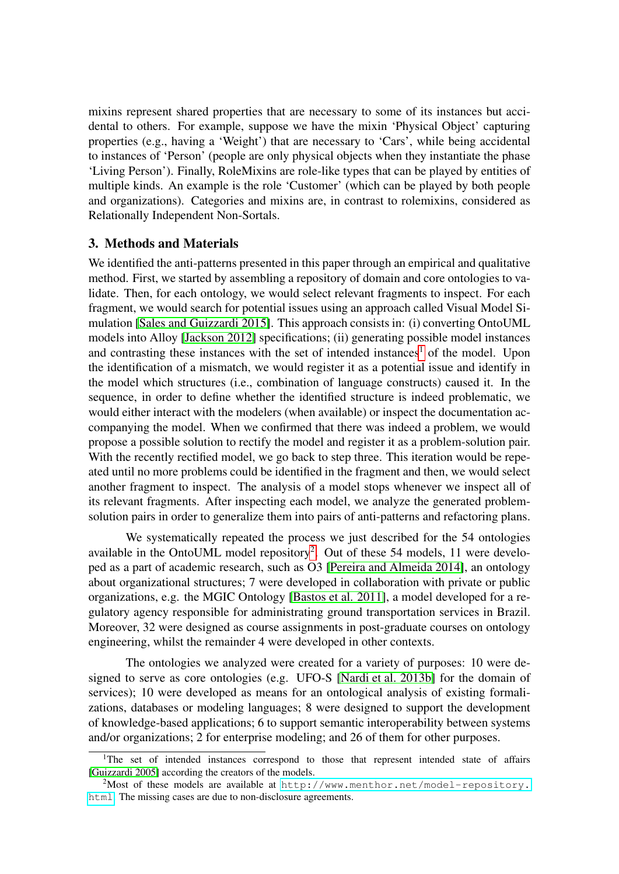mixins represent shared properties that are necessary to some of its instances but accidental to others. For example, suppose we have the mixin 'Physical Object' capturing properties (e.g., having a 'Weight') that are necessary to 'Cars', while being accidental to instances of 'Person' (people are only physical objects when they instantiate the phase 'Living Person'). Finally, RoleMixins are role-like types that can be played by entities of multiple kinds. An example is the role 'Customer' (which can be played by both people and organizations). Categories and mixins are, in contrast to rolemixins, considered as Relationally Independent Non-Sortals.

# 3. Methods and Materials

We identified the anti-patterns presented in this paper through an empirical and qualitative method. First, we started by assembling a repository of domain and core ontologies to validate. Then, for each ontology, we would select relevant fragments to inspect. For each fragment, we would search for potential issues using an approach called Visual Model Simulation [\[Sales and Guizzardi 2015\]](#page-12-1). This approach consists in: (i) converting OntoUML models into Alloy [\[Jackson 2012\]](#page-12-4) specifications; (ii) generating possible model instances and contrasting these instances with the set of intended instances<sup>[1](#page-3-0)</sup> of the model. Upon the identification of a mismatch, we would register it as a potential issue and identify in the model which structures (i.e., combination of language constructs) caused it. In the sequence, in order to define whether the identified structure is indeed problematic, we would either interact with the modelers (when available) or inspect the documentation accompanying the model. When we confirmed that there was indeed a problem, we would propose a possible solution to rectify the model and register it as a problem-solution pair. With the recently rectified model, we go back to step three. This iteration would be repeated until no more problems could be identified in the fragment and then, we would select another fragment to inspect. The analysis of a model stops whenever we inspect all of its relevant fragments. After inspecting each model, we analyze the generated problemsolution pairs in order to generalize them into pairs of anti-patterns and refactoring plans.

We systematically repeated the process we just described for the 54 ontologies available in the OntoUML model repository<sup>[2](#page-3-1)</sup>. Out of these 54 models, 11 were developed as a part of academic research, such as O3 [\[Pereira and Almeida 2014\]](#page-12-5), an ontology about organizational structures; 7 were developed in collaboration with private or public organizations, e.g. the MGIC Ontology [\[Bastos et al. 2011\]](#page-11-2), a model developed for a regulatory agency responsible for administrating ground transportation services in Brazil. Moreover, 32 were designed as course assignments in post-graduate courses on ontology engineering, whilst the remainder 4 were developed in other contexts.

The ontologies we analyzed were created for a variety of purposes: 10 were designed to serve as core ontologies (e.g. UFO-S [\[Nardi et al. 2013b\]](#page-12-6) for the domain of services); 10 were developed as means for an ontological analysis of existing formalizations, databases or modeling languages; 8 were designed to support the development of knowledge-based applications; 6 to support semantic interoperability between systems and/or organizations; 2 for enterprise modeling; and 26 of them for other purposes.

<span id="page-3-0"></span><sup>&</sup>lt;sup>1</sup>The set of intended instances correspond to those that represent intended state of affairs [\[Guizzardi 2005\]](#page-11-0) according the creators of the models.

<span id="page-3-1"></span> $2$ Most of these models are available at [http://www.menthor.net/model-repository.](http://www.menthor.net/model-repository.html) [html](http://www.menthor.net/model-repository.html). The missing cases are due to non-disclosure agreements.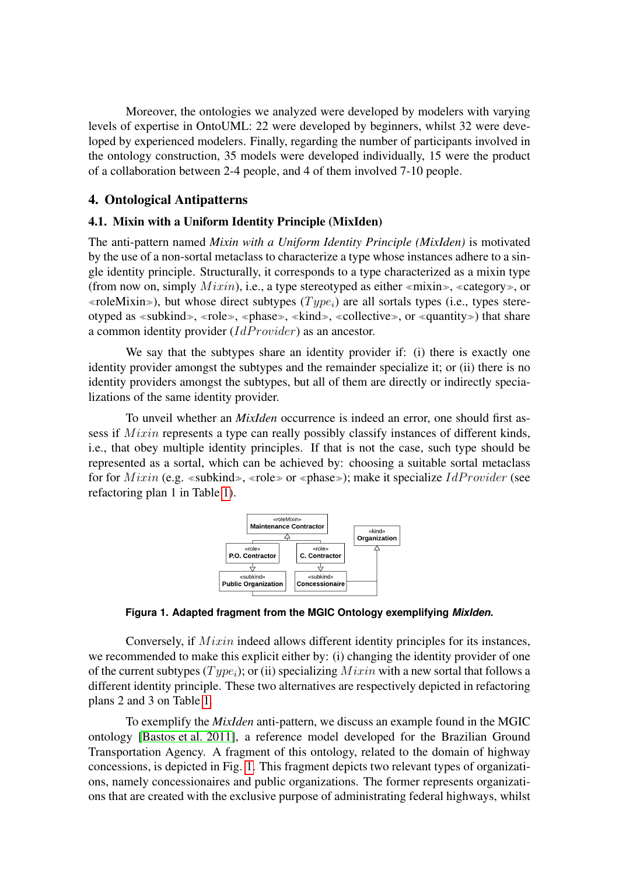Moreover, the ontologies we analyzed were developed by modelers with varying levels of expertise in OntoUML: 22 were developed by beginners, whilst 32 were developed by experienced modelers. Finally, regarding the number of participants involved in the ontology construction, 35 models were developed individually, 15 were the product of a collaboration between 2-4 people, and 4 of them involved 7-10 people.

# 4. Ontological Antipatterns

#### 4.1. Mixin with a Uniform Identity Principle (MixIden)

The anti-pattern named *Mixin with a Uniform Identity Principle (MixIden)* is motivated by the use of a non-sortal metaclass to characterize a type whose instances adhere to a single identity principle. Structurally, it corresponds to a type characterized as a mixin type (from now on, simply  $Mixin$ ), i.e., a type stereotyped as either «mixin», «category», or «roleMixin»), but whose direct subtypes  $(Type_i)$  are all sortals types (i.e., types stereotyped as «subkind», «role», «phase», «kind», «collective», or «quantity») that share a common identity provider  $(IdProvider)$  as an ancestor.

We say that the subtypes share an identity provider if: (i) there is exactly one identity provider amongst the subtypes and the remainder specialize it; or (ii) there is no identity providers amongst the subtypes, but all of them are directly or indirectly specializations of the same identity provider.

<span id="page-4-0"></span>To unveil whether an *MixIden* occurrence is indeed an error, one should first assess if  $Mixin$  represents a type can really possibly classify instances of different kinds, i.e., that obey multiple identity principles. If that is not the case, such type should be represented as a sortal, which can be achieved by: choosing a suitable sortal metaclass for for  $Mixin$  (e.g. «subkind», «role» or «phase»); make it specialize  $IdProvider$  (see refactoring plan 1 in Table [1\)](#page-5-0).



**Figura 1. Adapted fragment from the MGIC Ontology exemplifying** *MixIden***.**

Conversely, if  $Mixin$  indeed allows different identity principles for its instances, we recommended to make this explicit either by: (i) changing the identity provider of one of the current subtypes  $(Type_i)$ ; or (ii) specializing  $Mixin$  with a new sortal that follows a different identity principle. These two alternatives are respectively depicted in refactoring plans 2 and 3 on Table [1.](#page-5-0)

To exemplify the *MixIden* anti-pattern, we discuss an example found in the MGIC ontology [\[Bastos et al. 2011\]](#page-11-2), a reference model developed for the Brazilian Ground Transportation Agency. A fragment of this ontology, related to the domain of highway concessions, is depicted in Fig. [1.](#page-4-0) This fragment depicts two relevant types of organizations, namely concessionaires and public organizations. The former represents organizations that are created with the exclusive purpose of administrating federal highways, whilst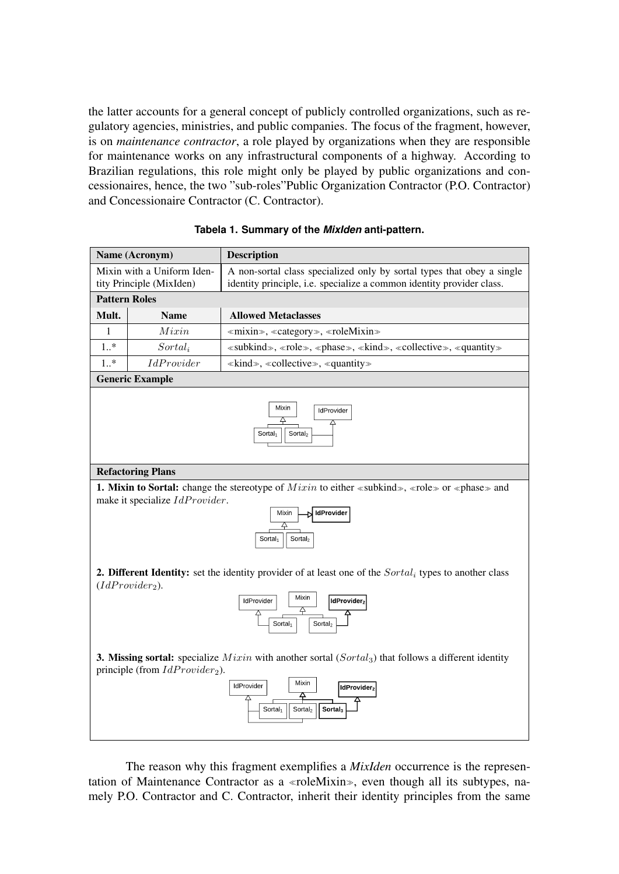the latter accounts for a general concept of publicly controlled organizations, such as regulatory agencies, ministries, and public companies. The focus of the fragment, however, is on *maintenance contractor*, a role played by organizations when they are responsible for maintenance works on any infrastructural components of a highway. According to Brazilian regulations, this role might only be played by public organizations and concessionaires, hence, the two "sub-roles"Public Organization Contractor (P.O. Contractor) and Concessionaire Contractor (C. Contractor).

#### **Tabela 1. Summary of the** *MixIden* **anti-pattern.**

<span id="page-5-0"></span>

| Name (Acronym)                                         |                                   | <b>Description</b>                                                                                                                                                                                                             |
|--------------------------------------------------------|-----------------------------------|--------------------------------------------------------------------------------------------------------------------------------------------------------------------------------------------------------------------------------|
| Mixin with a Uniform Iden-<br>tity Principle (MixIden) |                                   | A non-sortal class specialized only by sortal types that obey a single<br>identity principle, i.e. specialize a common identity provider class.                                                                                |
| <b>Pattern Roles</b>                                   |                                   |                                                                                                                                                                                                                                |
| Mult.                                                  | <b>Name</b>                       | <b>Allowed Metaclasses</b>                                                                                                                                                                                                     |
| 1                                                      | Mixin                             | «mixin», «category», «roleMixin»                                                                                                                                                                                               |
| $1.$ *                                                 | $Sortal_i$                        | «subkind», «role», «phase», «kind», «collective», «quantity»                                                                                                                                                                   |
| $1.$ *                                                 | <i>IdProvider</i>                 | $\ll$ kind», «collective», «quantity»                                                                                                                                                                                          |
|                                                        | <b>Generic Example</b>            |                                                                                                                                                                                                                                |
|                                                        |                                   | Mixin<br>IdProvider<br>4<br>△<br>Sortal <sub>2</sub><br>Sortal <sub>1</sub>                                                                                                                                                    |
|                                                        | <b>Refactoring Plans</b>          |                                                                                                                                                                                                                                |
|                                                        | make it specialize IdProvider.    | <b>1. Mixin to Sortal:</b> change the stereotype of <i>Mixin</i> to either «subkind», «role» or «phase» and<br><b>IdProvider</b><br>Mixin<br>4<br>Sortal <sub>2</sub><br>Sortal <sub>1</sub>                                   |
|                                                        | $(IdProvider2)$ .                 | <b>2. Different Identity:</b> set the identity provider of at least one of the Sortal, types to another class<br>Mixin<br>IdProvider<br>IdProvider2<br>4<br>Sortal <sub>1</sub><br>Sortal <sub>2</sub>                         |
|                                                        | principle (from $IdProvider_2$ ). | <b>3. Missing sortal:</b> specialize $Mixin$ with another sortal $(Sortal3)$ that follows a different identity<br>Mixin<br>IdProvider<br>IdProvider2<br>≏<br>Sortal <sub>2</sub><br>Sortal <sub>3</sub><br>Sortal <sub>1</sub> |

The reason why this fragment exemplifies a *MixIden* occurrence is the representation of Maintenance Contractor as a «roleMixin», even though all its subtypes, namely P.O. Contractor and C. Contractor, inherit their identity principles from the same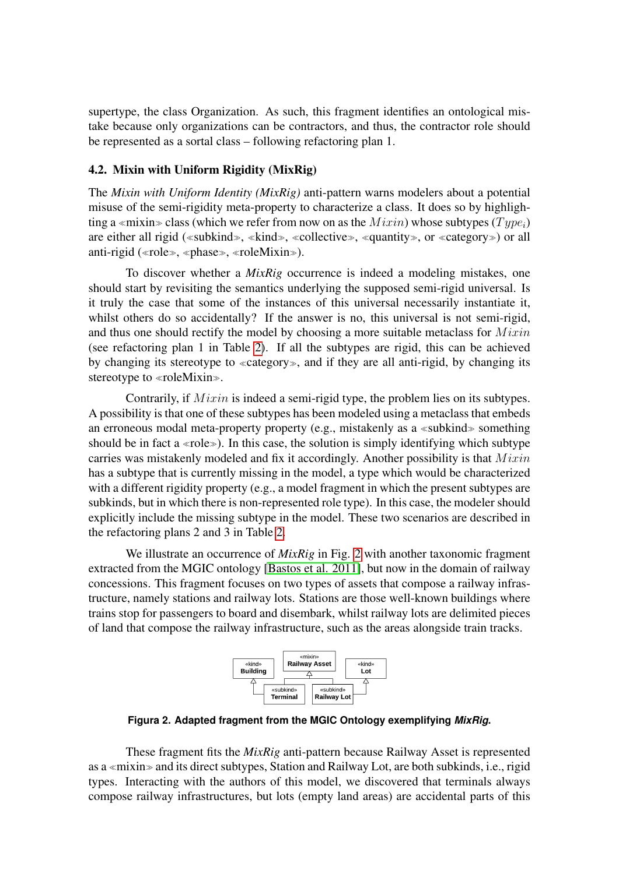supertype, the class Organization. As such, this fragment identifies an ontological mistake because only organizations can be contractors, and thus, the contractor role should be represented as a sortal class – following refactoring plan 1.

#### 4.2. Mixin with Uniform Rigidity (MixRig)

The *Mixin with Uniform Identity (MixRig)* anti-pattern warns modelers about a potential misuse of the semi-rigidity meta-property to characterize a class. It does so by highlighting a «mixin» class (which we refer from now on as the  $Mixin$ ) whose subtypes ( $Type_i$ ) are either all rigid («subkind», «kind», «collective», «quantity», or «category») or all anti-rigid ( $\langle$ role»,  $\langle$ phase»,  $\langle$ roleMixin»).

To discover whether a *MixRig* occurrence is indeed a modeling mistakes, one should start by revisiting the semantics underlying the supposed semi-rigid universal. Is it truly the case that some of the instances of this universal necessarily instantiate it, whilst others do so accidentally? If the answer is no, this universal is not semi-rigid, and thus one should rectify the model by choosing a more suitable metaclass for  $Mixin$ (see refactoring plan 1 in Table [2\)](#page-7-0). If all the subtypes are rigid, this can be achieved by changing its stereotype to «category», and if they are all anti-rigid, by changing its stereotype to  $\triangleleft$ roleMixin...

Contrarily, if  $Mixin$  is indeed a semi-rigid type, the problem lies on its subtypes. A possibility is that one of these subtypes has been modeled using a metaclass that embeds an erroneous modal meta-property property (e.g., mistakenly as a «subkind» something should be in fact a «role»). In this case, the solution is simply identifying which subtype carries was mistakenly modeled and fix it accordingly. Another possibility is that  $Mixin$ has a subtype that is currently missing in the model, a type which would be characterized with a different rigidity property (e.g., a model fragment in which the present subtypes are subkinds, but in which there is non-represented role type). In this case, the modeler should explicitly include the missing subtype in the model. These two scenarios are described in the refactoring plans 2 and 3 in Table [2.](#page-7-0)

We illustrate an occurrence of *MixRig* in Fig. [2](#page-6-0) with another taxonomic fragment extracted from the MGIC ontology [\[Bastos et al. 2011\]](#page-11-2), but now in the domain of railway concessions. This fragment focuses on two types of assets that compose a railway infrastructure, namely stations and railway lots. Stations are those well-known buildings where trains stop for passengers to board and disembark, whilst railway lots are delimited pieces of land that compose the railway infrastructure, such as the areas alongside train tracks.



<span id="page-6-0"></span>**Figura 2. Adapted fragment from the MGIC Ontology exemplifying** *MixRig***.**

These fragment fits the *MixRig* anti-pattern because Railway Asset is represented as a «mixin» and its direct subtypes, Station and Railway Lot, are both subkinds, i.e., rigid types. Interacting with the authors of this model, we discovered that terminals always compose railway infrastructures, but lots (empty land areas) are accidental parts of this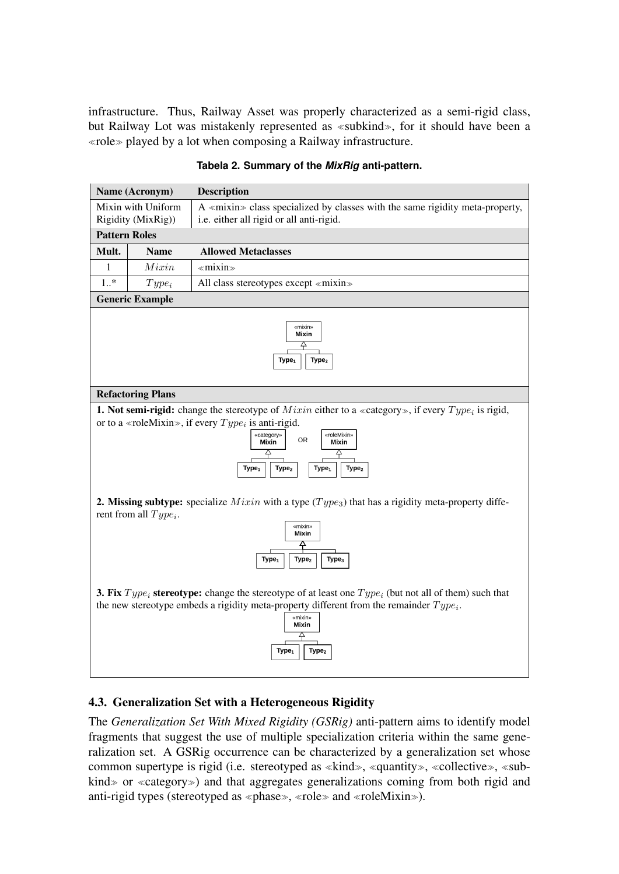infrastructure. Thus, Railway Asset was properly characterized as a semi-rigid class, but Railway Lot was mistakenly represented as  $\ll$ subkind», for it should have been a  $\triangleleft$ role $\triangleright$  played by a lot when composing a Railway infrastructure.

<span id="page-7-0"></span>

| Name (Acronym)                           |                          | <b>Description</b>                                                                                                                                                                                                                                                                                                                     |  |  |  |
|------------------------------------------|--------------------------|----------------------------------------------------------------------------------------------------------------------------------------------------------------------------------------------------------------------------------------------------------------------------------------------------------------------------------------|--|--|--|
| Mixin with Uniform<br>Rigidity (MixRig)) |                          | A «mixin» class specialized by classes with the same rigidity meta-property,<br>i.e. either all rigid or all anti-rigid.                                                                                                                                                                                                               |  |  |  |
|                                          | <b>Pattern Roles</b>     |                                                                                                                                                                                                                                                                                                                                        |  |  |  |
| Mult.                                    | <b>Name</b>              | <b>Allowed Metaclasses</b>                                                                                                                                                                                                                                                                                                             |  |  |  |
| 1                                        | Mixin                    | $\ll$ mixin $\gg$                                                                                                                                                                                                                                                                                                                      |  |  |  |
| $1.$ *                                   | $Type_i$                 | All class stereotypes except «mixin»                                                                                                                                                                                                                                                                                                   |  |  |  |
|                                          | <b>Generic Example</b>   |                                                                                                                                                                                                                                                                                                                                        |  |  |  |
|                                          |                          | «mixin»<br>Mixin<br>4<br>Type <sub>2</sub><br>Type <sub>1</sub>                                                                                                                                                                                                                                                                        |  |  |  |
|                                          | <b>Refactoring Plans</b> |                                                                                                                                                                                                                                                                                                                                        |  |  |  |
|                                          |                          | <b>1. Not semi-rigid:</b> change the stereotype of <i>Mixin</i> either to a «category», if every $Type_i$ is rigid,<br>or to a «roleMixin», if every $Type_i$ is anti-rigid.<br>«category»<br>«roleMixin»<br><b>OR</b><br>Mixin<br>Mixin<br>4<br>4<br>Type <sub>2</sub><br>Type <sub>2</sub><br>Type <sub>1</sub><br>Type <sub>1</sub> |  |  |  |
|                                          | rent from all $Type_i$ . | <b>2. Missing subtype:</b> specialize <i>Mixin</i> with a type $(Type_3)$ that has a rigidity meta-property diffe-<br>«mixin»<br>Mixin<br>≙<br>Type <sub>3</sub><br>Type <sub>1</sub><br>Type <sub>2</sub>                                                                                                                             |  |  |  |
|                                          |                          | <b>3. Fix</b> Type <sub>i</sub> stereotype: change the stereotype of at least one Type <sub>i</sub> (but not all of them) such that<br>the new stereotype embeds a rigidity meta-property different from the remainder $Type_i$ .<br>«mixin»<br>Mixin<br>4<br>Type <sub>2</sub><br>Type <sub>1</sub>                                   |  |  |  |

## **Tabela 2. Summary of the** *MixRig* **anti-pattern.**

# 4.3. Generalization Set with a Heterogeneous Rigidity

The *Generalization Set With Mixed Rigidity (GSRig)* anti-pattern aims to identify model fragments that suggest the use of multiple specialization criteria within the same generalization set. A GSRig occurrence can be characterized by a generalization set whose common supertype is rigid (i.e. stereotyped as  $\ll$ kind $\gg$ ,  $\ll$ quantity $\gg$ ,  $\ll$ collective $\gg$ ,  $\ll$ subkind  $\gg$  or  $\ll$  category  $\gg$ ) and that aggregates generalizations coming from both rigid and anti-rigid types (stereotyped as  $\triangleleft$  phase $\triangleleft$ ,  $\triangleleft$  role $\triangleleft$  and  $\triangleleft$  roleMixin $\triangleright$ ).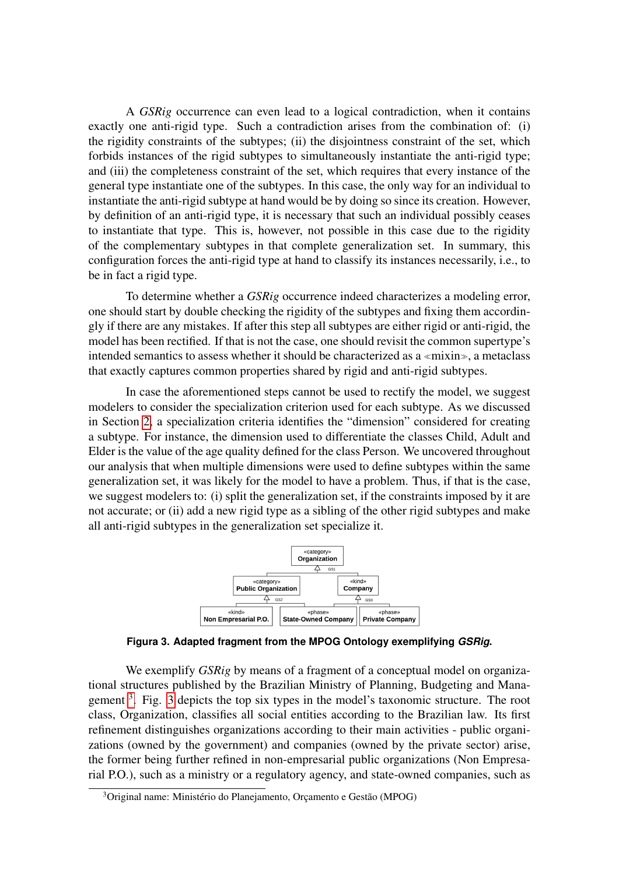A *GSRig* occurrence can even lead to a logical contradiction, when it contains exactly one anti-rigid type. Such a contradiction arises from the combination of: (i) the rigidity constraints of the subtypes; (ii) the disjointness constraint of the set, which forbids instances of the rigid subtypes to simultaneously instantiate the anti-rigid type; and (iii) the completeness constraint of the set, which requires that every instance of the general type instantiate one of the subtypes. In this case, the only way for an individual to instantiate the anti-rigid subtype at hand would be by doing so since its creation. However, by definition of an anti-rigid type, it is necessary that such an individual possibly ceases to instantiate that type. This is, however, not possible in this case due to the rigidity of the complementary subtypes in that complete generalization set. In summary, this configuration forces the anti-rigid type at hand to classify its instances necessarily, i.e., to be in fact a rigid type.

To determine whether a *GSRig* occurrence indeed characterizes a modeling error, one should start by double checking the rigidity of the subtypes and fixing them accordingly if there are any mistakes. If after this step all subtypes are either rigid or anti-rigid, the model has been rectified. If that is not the case, one should revisit the common supertype's intended semantics to assess whether it should be characterized as a  $\ll$ mixin $\gg$ , a metaclass that exactly captures common properties shared by rigid and anti-rigid subtypes.

In case the aforementioned steps cannot be used to rectify the model, we suggest modelers to consider the specialization criterion used for each subtype. As we discussed in Section [2,](#page-2-0) a specialization criteria identifies the "dimension" considered for creating a subtype. For instance, the dimension used to differentiate the classes Child, Adult and Elder is the value of the age quality defined for the class Person. We uncovered throughout our analysis that when multiple dimensions were used to define subtypes within the same generalization set, it was likely for the model to have a problem. Thus, if that is the case, we suggest modelers to: (i) split the generalization set, if the constraints imposed by it are not accurate; or (ii) add a new rigid type as a sibling of the other rigid subtypes and make all anti-rigid subtypes in the generalization set specialize it.

<span id="page-8-1"></span>

**Figura 3. Adapted fragment from the MPOG Ontology exemplifying** *GSRig***.**

We exemplify *GSRig* by means of a fragment of a conceptual model on organizational structures published by the Brazilian Ministry of Planning, Budgeting and Mana-gement <sup>[3](#page-8-0)</sup>. Fig. [3](#page-8-1) depicts the top six types in the model's taxonomic structure. The root class, Organization, classifies all social entities according to the Brazilian law. Its first refinement distinguishes organizations according to their main activities - public organizations (owned by the government) and companies (owned by the private sector) arise, the former being further refined in non-empresarial public organizations (Non Empresarial P.O.), such as a ministry or a regulatory agency, and state-owned companies, such as

<span id="page-8-0"></span><sup>&</sup>lt;sup>3</sup>Original name: Ministério do Planejamento, Orçamento e Gestão (MPOG)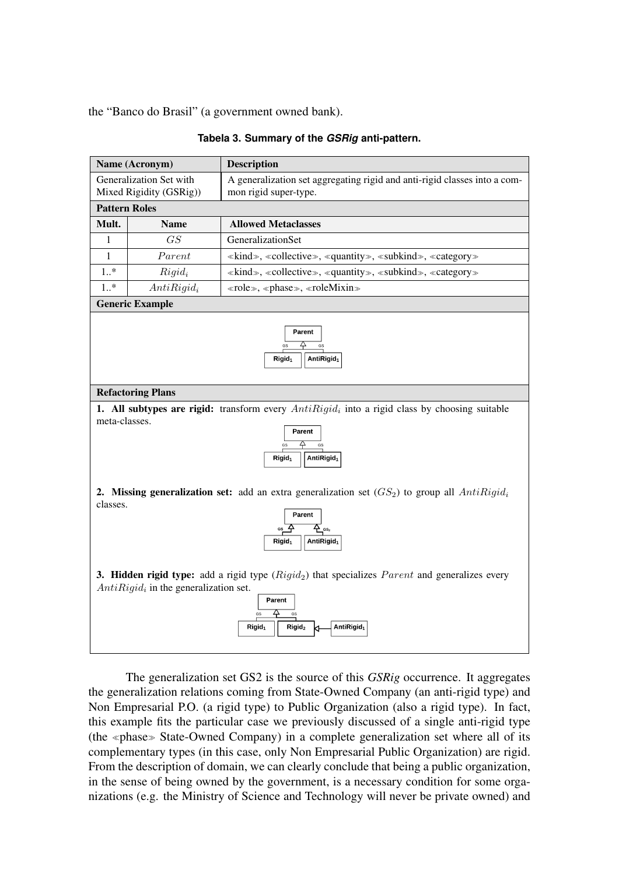the "Banco do Brasil" (a government owned bank).

|                                                                                                                                                                                                                                                                                                                                                          | Name (Acronym)         | <b>Description</b>                                                                            |  |  |  |
|----------------------------------------------------------------------------------------------------------------------------------------------------------------------------------------------------------------------------------------------------------------------------------------------------------------------------------------------------------|------------------------|-----------------------------------------------------------------------------------------------|--|--|--|
| Generalization Set with                                                                                                                                                                                                                                                                                                                                  |                        | A generalization set aggregating rigid and anti-rigid classes into a com-                     |  |  |  |
| Mixed Rigidity (GSRig))                                                                                                                                                                                                                                                                                                                                  |                        | mon rigid super-type.                                                                         |  |  |  |
| <b>Pattern Roles</b>                                                                                                                                                                                                                                                                                                                                     |                        |                                                                                               |  |  |  |
| Mult.                                                                                                                                                                                                                                                                                                                                                    | <b>Name</b>            | <b>Allowed Metaclasses</b>                                                                    |  |  |  |
| $\mathbf{1}$                                                                                                                                                                                                                                                                                                                                             | GS                     | GeneralizationSet                                                                             |  |  |  |
| 1                                                                                                                                                                                                                                                                                                                                                        | Parent                 | «kind», «collective», «quantity», «subkind», «category»                                       |  |  |  |
| $1.$ *                                                                                                                                                                                                                                                                                                                                                   | $Rigid_i$              | «kind», «collective», «quantity», «subkind», «category»                                       |  |  |  |
| $1.$ *                                                                                                                                                                                                                                                                                                                                                   | $AntiRigid_i$          | «role», «phase», «roleMixin»                                                                  |  |  |  |
|                                                                                                                                                                                                                                                                                                                                                          | <b>Generic Example</b> |                                                                                               |  |  |  |
| 4<br>AntiRigid <sub>1</sub><br>Rigid <sub>1</sub><br><b>Refactoring Plans</b>                                                                                                                                                                                                                                                                            |                        |                                                                                               |  |  |  |
| <b>1. All subtypes are rigid:</b> transform every $AntiRigidi$ into a rigid class by choosing suitable<br>meta-classes.<br>Parent<br>GS<br>GS<br>AntiRigid <sub>1</sub><br>${\sf Rigid}_1$                                                                                                                                                               |                        |                                                                                               |  |  |  |
| <b>2. Missing generalization set:</b> add an extra generalization set $(GS_2)$ to group all $AntiRigid_i$<br>classes.<br>Parent<br>$\frac{A}{C}$ as,<br>GS<br>AntiRigid <sub>1</sub><br>${\rm Rigid}_1$<br>3. Hidden rigid type: add a rigid type $(Rigid_2)$ that specializes $Parent$ and generalizes every<br>$AntiRigidi$ in the generalization set. |                        |                                                                                               |  |  |  |
|                                                                                                                                                                                                                                                                                                                                                          |                        | Parent<br>△<br>GS<br>GS<br>AntiRigid <sub>1</sub><br>Rigid <sub>2</sub><br>Rigid <sub>1</sub> |  |  |  |

The generalization set GS2 is the source of this *GSRig* occurrence. It aggregates the generalization relations coming from State-Owned Company (an anti-rigid type) and Non Empresarial P.O. (a rigid type) to Public Organization (also a rigid type). In fact, this example fits the particular case we previously discussed of a single anti-rigid type (the «phase» State-Owned Company) in a complete generalization set where all of its complementary types (in this case, only Non Empresarial Public Organization) are rigid. From the description of domain, we can clearly conclude that being a public organization, in the sense of being owned by the government, is a necessary condition for some organizations (e.g. the Ministry of Science and Technology will never be private owned) and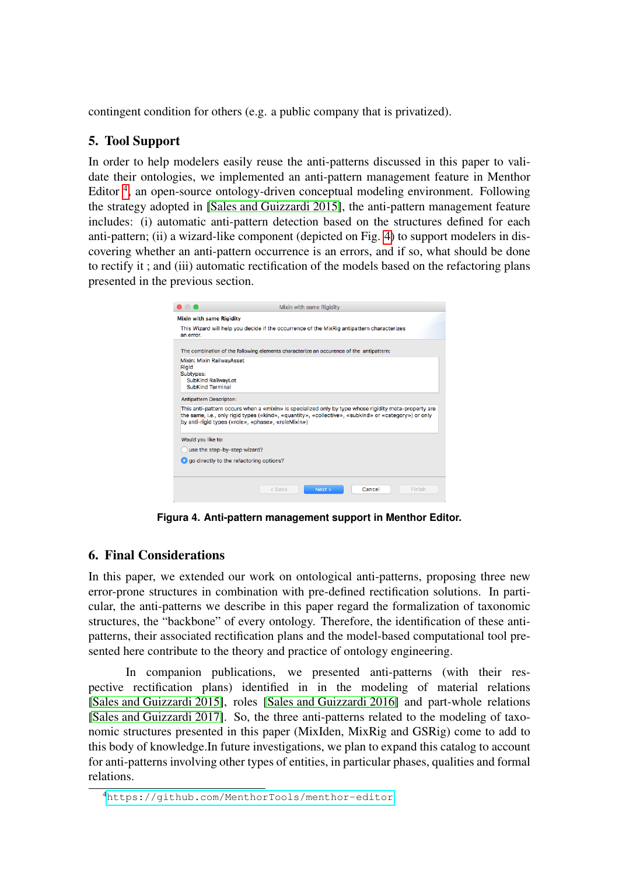contingent condition for others (e.g. a public company that is privatized).

# 5. Tool Support

In order to help modelers easily reuse the anti-patterns discussed in this paper to validate their ontologies, we implemented an anti-pattern management feature in Menthor Editor<sup>[4](#page-10-0)</sup>, an open-source ontology-driven conceptual modeling environment. Following the strategy adopted in [\[Sales and Guizzardi 2015\]](#page-12-1), the anti-pattern management feature includes: (i) automatic anti-pattern detection based on the structures defined for each anti-pattern; (ii) a wizard-like component (depicted on Fig. [4\)](#page-10-1) to support modelers in discovering whether an anti-pattern occurrence is an errors, and if so, what should be done to rectify it ; and (iii) automatic rectification of the models based on the refactoring plans presented in the previous section.

<span id="page-10-1"></span>

| <b>Mixin with same Rigidity</b><br>This Wizard will help you decide if the occurrence of the MixRig antipattern characterizes<br>an error.<br>The combination of the following elements characterize an occurence of the antipattern:<br>Mixin: Mixin RailwavAsset |  |
|--------------------------------------------------------------------------------------------------------------------------------------------------------------------------------------------------------------------------------------------------------------------|--|
|                                                                                                                                                                                                                                                                    |  |
|                                                                                                                                                                                                                                                                    |  |
|                                                                                                                                                                                                                                                                    |  |
|                                                                                                                                                                                                                                                                    |  |
| Rigid<br>Subtypes:                                                                                                                                                                                                                                                 |  |
| <b>SubKind RailwayLot</b>                                                                                                                                                                                                                                          |  |
| <b>SubKind Terminal</b>                                                                                                                                                                                                                                            |  |
| <b>Antipattern Descripton:</b>                                                                                                                                                                                                                                     |  |
| This anti-pattern occurs when a «mixin» is specialized only by type whose rigidity meta-property are<br>the same, i.e., only rigid types («kind», «quantity», «collective», «subkind» or «category») or only<br>by anti-rigid types («role», «phase», «roleMixin») |  |
| Would you like to:                                                                                                                                                                                                                                                 |  |
| use the step-by-step wizard?                                                                                                                                                                                                                                       |  |
| O go directly to the refactoring options?                                                                                                                                                                                                                          |  |
|                                                                                                                                                                                                                                                                    |  |

**Figura 4. Anti-pattern management support in Menthor Editor.**

# 6. Final Considerations

In this paper, we extended our work on ontological anti-patterns, proposing three new error-prone structures in combination with pre-defined rectification solutions. In particular, the anti-patterns we describe in this paper regard the formalization of taxonomic structures, the "backbone" of every ontology. Therefore, the identification of these antipatterns, their associated rectification plans and the model-based computational tool presented here contribute to the theory and practice of ontology engineering.

In companion publications, we presented anti-patterns (with their respective rectification plans) identified in in the modeling of material relations [\[Sales and Guizzardi 2015\]](#page-12-1), roles [\[Sales and Guizzardi 2016\]](#page-12-2) and part-whole relations [\[Sales and Guizzardi 2017\]](#page-12-3). So, the three anti-patterns related to the modeling of taxonomic structures presented in this paper (MixIden, MixRig and GSRig) come to add to this body of knowledge.In future investigations, we plan to expand this catalog to account for anti-patterns involving other types of entities, in particular phases, qualities and formal relations.

<span id="page-10-0"></span><sup>4</sup><https://github.com/MenthorTools/menthor-editor>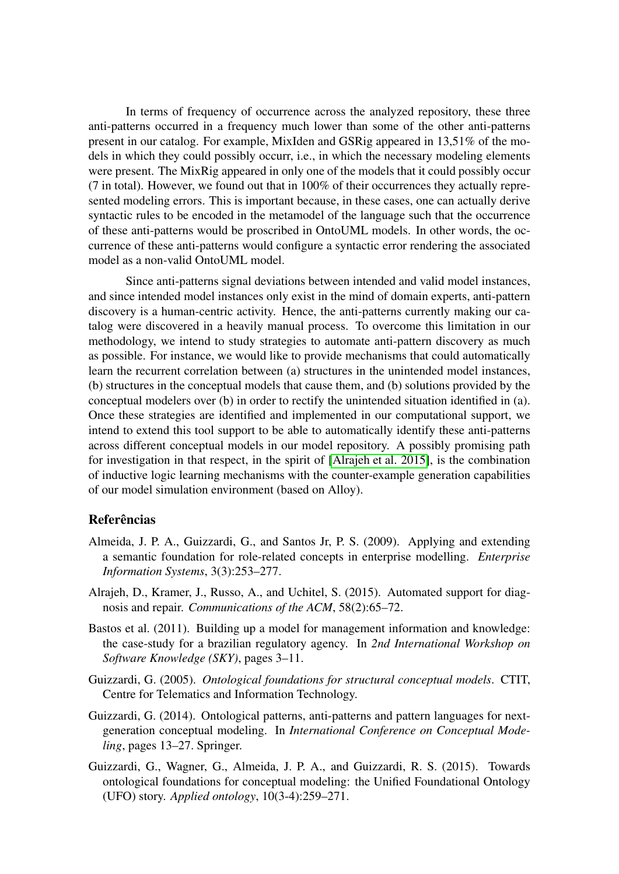In terms of frequency of occurrence across the analyzed repository, these three anti-patterns occurred in a frequency much lower than some of the other anti-patterns present in our catalog. For example, MixIden and GSRig appeared in 13,51% of the models in which they could possibly occurr, i.e., in which the necessary modeling elements were present. The MixRig appeared in only one of the models that it could possibly occur (7 in total). However, we found out that in 100% of their occurrences they actually represented modeling errors. This is important because, in these cases, one can actually derive syntactic rules to be encoded in the metamodel of the language such that the occurrence of these anti-patterns would be proscribed in OntoUML models. In other words, the occurrence of these anti-patterns would configure a syntactic error rendering the associated model as a non-valid OntoUML model.

Since anti-patterns signal deviations between intended and valid model instances, and since intended model instances only exist in the mind of domain experts, anti-pattern discovery is a human-centric activity. Hence, the anti-patterns currently making our catalog were discovered in a heavily manual process. To overcome this limitation in our methodology, we intend to study strategies to automate anti-pattern discovery as much as possible. For instance, we would like to provide mechanisms that could automatically learn the recurrent correlation between (a) structures in the unintended model instances, (b) structures in the conceptual models that cause them, and (b) solutions provided by the conceptual modelers over (b) in order to rectify the unintended situation identified in (a). Once these strategies are identified and implemented in our computational support, we intend to extend this tool support to be able to automatically identify these anti-patterns across different conceptual models in our model repository. A possibly promising path for investigation in that respect, in the spirit of [\[Alrajeh et al. 2015\]](#page-11-3), is the combination of inductive logic learning mechanisms with the counter-example generation capabilities of our model simulation environment (based on Alloy).

# **Referências**

- Almeida, J. P. A., Guizzardi, G., and Santos Jr, P. S. (2009). Applying and extending a semantic foundation for role-related concepts in enterprise modelling. *Enterprise Information Systems*, 3(3):253–277.
- <span id="page-11-3"></span>Alrajeh, D., Kramer, J., Russo, A., and Uchitel, S. (2015). Automated support for diagnosis and repair. *Communications of the ACM*, 58(2):65–72.
- <span id="page-11-2"></span>Bastos et al. (2011). Building up a model for management information and knowledge: the case-study for a brazilian regulatory agency. In *2nd International Workshop on Software Knowledge (SKY)*, pages 3–11.
- <span id="page-11-0"></span>Guizzardi, G. (2005). *Ontological foundations for structural conceptual models*. CTIT, Centre for Telematics and Information Technology.
- Guizzardi, G. (2014). Ontological patterns, anti-patterns and pattern languages for nextgeneration conceptual modeling. In *International Conference on Conceptual Modeling*, pages 13–27. Springer.
- <span id="page-11-1"></span>Guizzardi, G., Wagner, G., Almeida, J. P. A., and Guizzardi, R. S. (2015). Towards ontological foundations for conceptual modeling: the Unified Foundational Ontology (UFO) story. *Applied ontology*, 10(3-4):259–271.